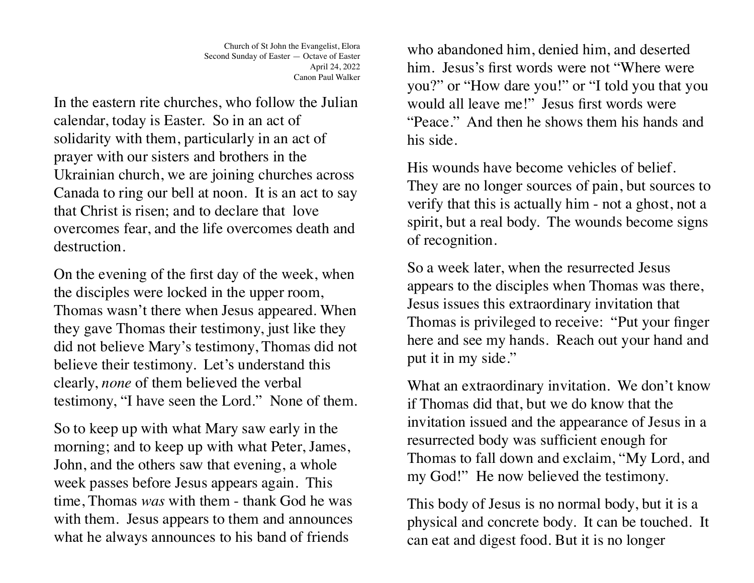Church of St John the Evangelist, Elora Second Sunday of Easter — Octave of Easter April 24, 2022 Canon Paul Walker

In the eastern rite churches, who follow the Julian calendar, today is Easter. So in an act of solidarity with them, particularly in an act of prayer with our sisters and brothers in the Ukrainian church, we are joining churches across Canada to ring our bell at noon. It is an act to say that Christ is risen; and to declare that love overcomes fear, and the life overcomes death and destruction.

On the evening of the first day of the week, when the disciples were locked in the upper room, Thomas wasn't there when Jesus appeared. When they gave Thomas their testimony, just like they did not believe Mary's testimony, Thomas did not believe their testimony. Let's understand this clearly, *none* of them believed the verbal testimony, "I have seen the Lord." None of them.

So to keep up with what Mary saw early in the morning; and to keep up with what Peter, James, John, and the others saw that evening, a whole week passes before Jesus appears again. This time, Thomas *was* with them - thank God he was with them. Jesus appears to them and announces what he always announces to his band of friends

who abandoned him, denied him, and deserted him. Jesus's first words were not "Where were you?" or "How dare you!" or "I told you that you would all leave me!" Jesus first words were "Peace." And then he shows them his hands and his side.

His wounds have become vehicles of belief. They are no longer sources of pain, but sources to verify that this is actually him - not a ghost, not a spirit, but a real body. The wounds become signs of recognition.

So a week later, when the resurrected Jesus appears to the disciples when Thomas was there, Jesus issues this extraordinary invitation that Thomas is privileged to receive: "Put your finger here and see my hands. Reach out your hand and put it in my side."

What an extraordinary invitation. We don't know if Thomas did that, but we do know that the invitation issued and the appearance of Jesus in a resurrected body was sufficient enough for Thomas to fall down and exclaim, "My Lord, and my God!" He now believed the testimony.

This body of Jesus is no normal body, but it is a physical and concrete body. It can be touched. It can eat and digest food. But it is no longer